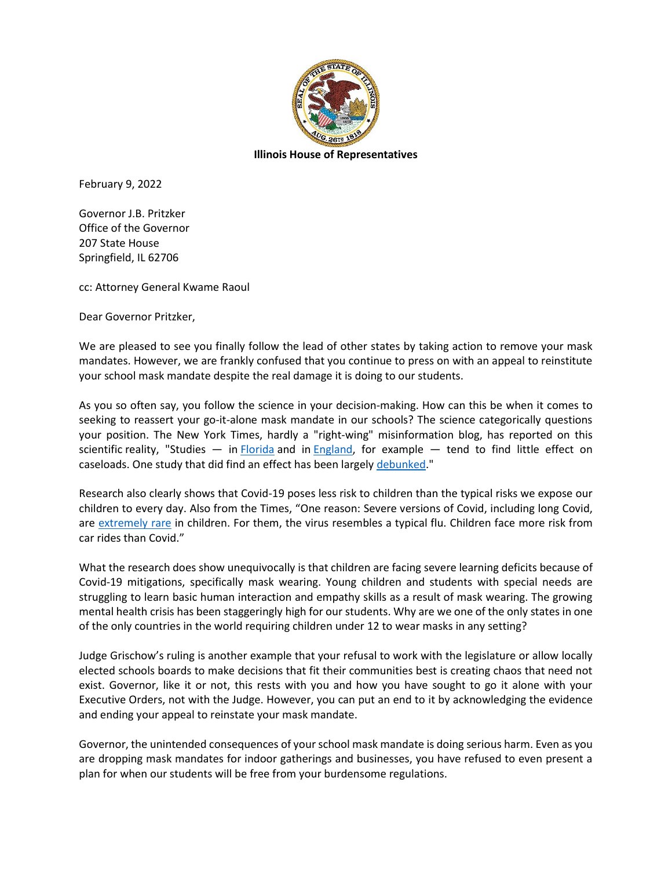

February 9, 2022

Governor J.B. Pritzker Office of the Governor 207 State House Springfield, IL 62706

cc: Attorney General Kwame Raoul

Dear Governor Pritzker,

We are pleased to see you finally follow the lead of other states by taking action to remove your mask mandates. However, we are frankly confused that you continue to press on with an appeal to reinstitute your school mask mandate despite the real damage it is doing to our students.

As you so often say, you follow the science in your decision-making. How can this be when it comes to seeking to reassert your go-it-alone mask mandate in our schools? The science categorically questions your position. The New York Times, hardly a "right-wing" misinformation blog, has reported on this scientific reality, "Studies  $-$  in [Florida](https://nl.nytimes.com/f/a/46dQ4S7ziw3RGXexT8RnjA~~/AAAAAQA~/RgRj5NYCP0TRaHR0cHM6Ly93d3cubWVkcnhpdi5vcmcvY29udGVudC8xMC4xMTAxLzIwMjEuMDUuMTkuMjEyNTc0Njd2MT9jYW1wYWlnbl9pZD05JmVtYz1lZGl0X25uXzIwMjIwMjA4Jmluc3RhbmNlX2lkPTUyNDgwJm5sPXRoZS1tb3JuaW5nJnJlZ2lfaWQ9ODYxNTc0MjAmc2VnbWVudF9pZD04MTk4MSZ0ZT0xJnVzZXJfaWQ9NGMyZWJhNjU2ZDFhODFmYmJlYzc2NzAyZmJlMTM1YzlXA255dEIKYgECUQJiuqMsZ1IUamNzaWtlczE4OUBnbWFpbC5jb21YBAAAAAA~) and in [England,](https://www.bbc.com/news/health-59895934?campaign_id=9&emc=edit_nn_20220208&instance_id=52480&nl=the-morning®i_id=86157420&segment_id=81981&te=1&user_id=4c2eba656d1a81fbbec76702fbe135c9) for example  $-$  tend to find little effect on caseloads. One study that did find an effect has been largely [debunked.](https://www.theatlantic.com/science/archive/2021/12/mask-guidelines-cdc-walensky/621035/?campaign_id=9&emc=edit_nn_20220208&instance_id=52480&nl=the-morning®i_id=86157420&segment_id=81981&te=1&user_id=4c2eba656d1a81fbbec76702fbe135c9)"

Research also clearly shows that Covid-19 poses less risk to children than the typical risks we expose our children to every day. Also from the Times, "One reason: Severe versions of Covid, including long Covid, are [extremely rare](https://www.nytimes.com/2021/10/12/briefing/covid-age-risk-infection-vaccine.html?campaign_id=9&emc=edit_nn_20220104&instance_id=49344&nl=the-morning®i_id=86157420&segment_id=78602&te=1&user_id=4c2eba656d1a81fbbec76702fbe135c9) in children. For them, the virus resembles a typical flu. Children face more risk from car rides than Covid."

What the research does show unequivocally is that children are facing severe learning deficits because of Covid-19 mitigations, specifically mask wearing. Young children and students with special needs are struggling to learn basic human interaction and empathy skills as a result of mask wearing. The growing mental health crisis has been staggeringly high for our students. Why are we one of the only states in one of the only countries in the world requiring children under 12 to wear masks in any setting?

Judge Grischow's ruling is another example that your refusal to work with the legislature or allow locally elected schools boards to make decisions that fit their communities best is creating chaos that need not exist. Governor, like it or not, this rests with you and how you have sought to go it alone with your Executive Orders, not with the Judge. However, you can put an end to it by acknowledging the evidence and ending your appeal to reinstate your mask mandate.

Governor, the unintended consequences of your school mask mandate is doing serious harm. Even as you are dropping mask mandates for indoor gatherings and businesses, you have refused to even present a plan for when our students will be free from your burdensome regulations.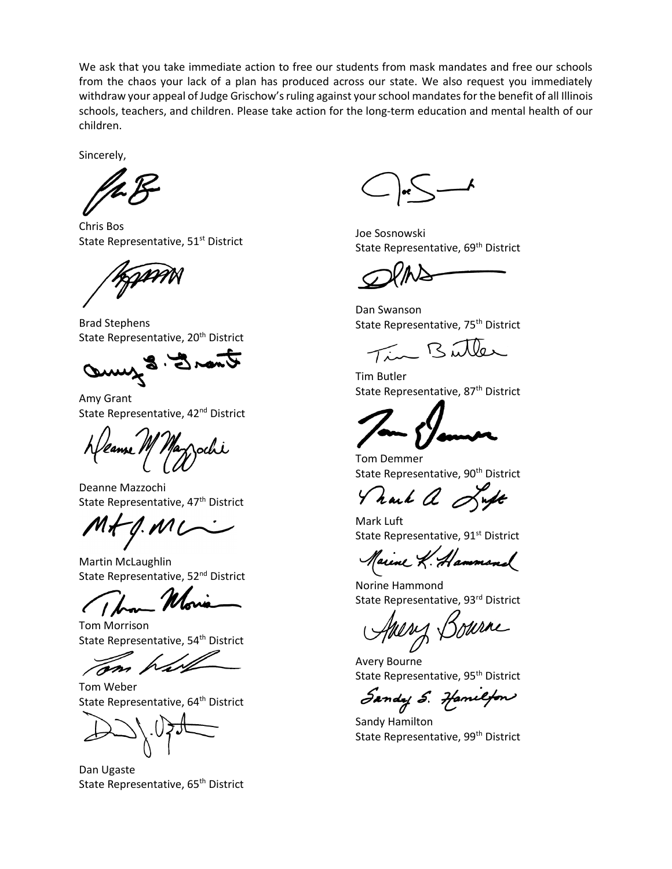We ask that you take immediate action to free our students from mask mandates and free our schools from the chaos your lack of a plan has produced across our state. We also request you immediately withdraw your appeal of Judge Grischow's ruling against your school mandates for the benefit of all Illinois schools, teachers, and children. Please take action for the long-term education and mental health of our children.

Sincerely,

Chris Bos State Representative, 51<sup>st</sup> District

GAMM

Brad Stephens State Representative, 20<sup>th</sup> District

Ower 5. Sumo

Amy Grant State Representative, 42<sup>nd</sup> District

Deanne Mazzochi State Representative, 47<sup>th</sup> District

 $M + 0. M L$ 

Martin McLaughlin State Representative, 52<sup>nd</sup> District

Tom Morrison State Representative, 54<sup>th</sup> District

Tom Weber State Representative, 64<sup>th</sup> District

Dan Ugaste State Representative, 65<sup>th</sup> District

Joe Sosnowski State Representative, 69<sup>th</sup> District

Dan Swanson State Representative, 75<sup>th</sup> District

Tim Butter

Tim Butler State Representative, 87<sup>th</sup> District

Tom Demmer State Representative, 90<sup>th</sup> District

Thank a Luft

Mark Luft State Representative, 91<sup>st</sup> District

Marine K. Hammond

Norine Hammond State Representative, 93rd District

Towne

Avery Bourne State Representative, 95<sup>th</sup> District

Sandy S. Hamilton

Sandy Hamilton State Representative, 99<sup>th</sup> District